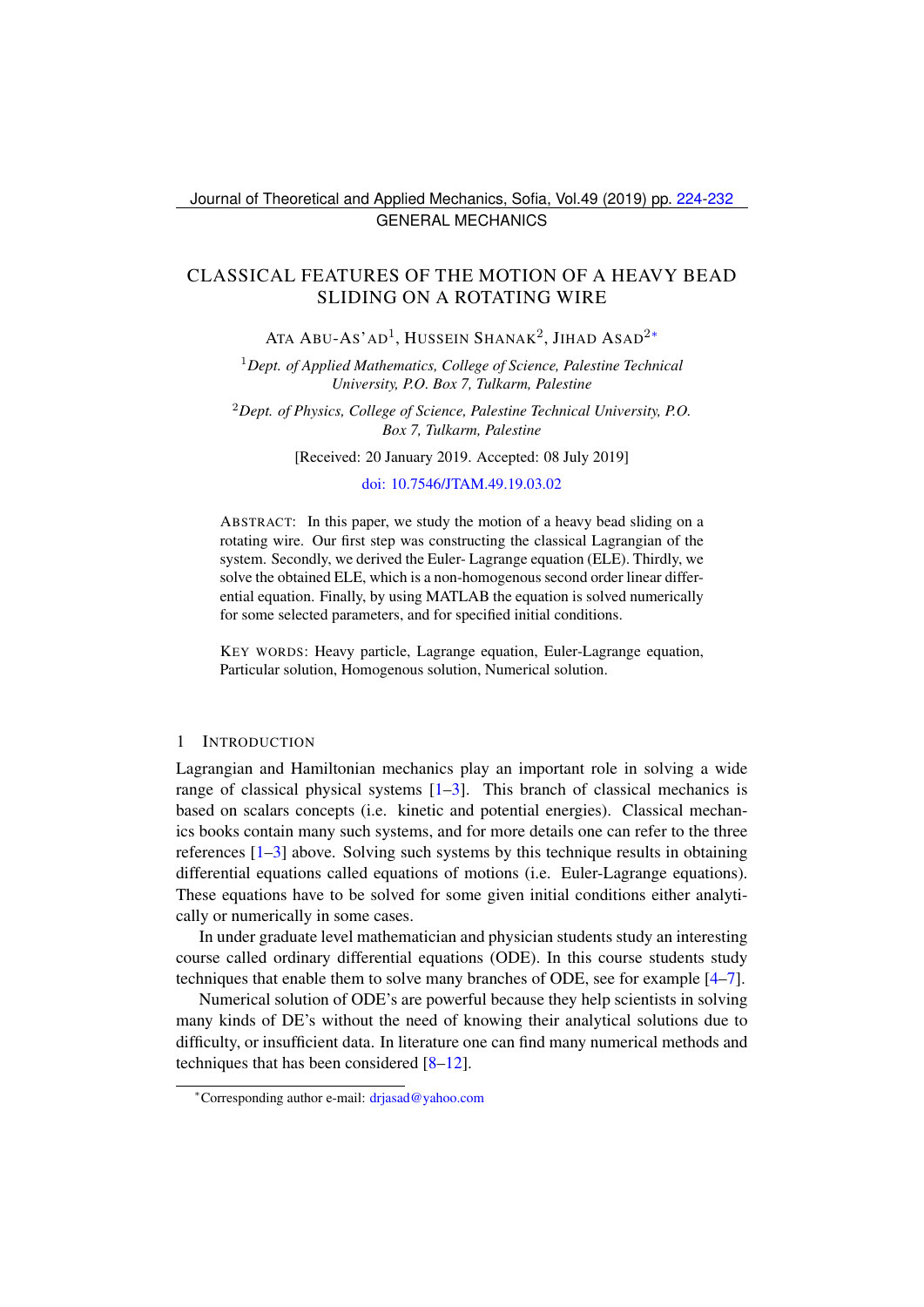Journal of Theoretical and Applied Mechanics, Sofia, Vol.49 (2019) pp. [224-](#page-0-0)[232](#page-8-0) GENERAL MECHANICS

# <span id="page-0-0"></span>CLASSICAL FEATURES OF THE MOTION OF A HEAVY BEAD SLIDING ON A ROTATING WIRE

Ata Abu-As'ad<sup>1</sup>, Hussein Shanak<sup>2</sup>, Jihad Asad<sup>2</sup>\*

<sup>1</sup>*Dept. of Applied Mathematics, College of Science, Palestine Technical University, P.O. Box 7, Tulkarm, Palestine*

<sup>2</sup>*Dept. of Physics, College of Science, Palestine Technical University, P.O. Box 7, Tulkarm, Palestine*

[Received: 20 January 2019. Accepted: 08 July 2019]

#### [doi: 10.7546/JTAM.49.19.03.02](https://doi.org/10.7546/JTAM.49.19.03.02)

ABSTRACT: In this paper, we study the motion of a heavy bead sliding on a rotating wire. Our first step was constructing the classical Lagrangian of the system. Secondly, we derived the Euler- Lagrange equation (ELE). Thirdly, we solve the obtained ELE, which is a non-homogenous second order linear differential equation. Finally, by using MATLAB the equation is solved numerically for some selected parameters, and for specified initial conditions.

KEY WORDS: Heavy particle, Lagrange equation, Euler-Lagrange equation, Particular solution, Homogenous solution, Numerical solution.

### 1 INTRODUCTION

Lagrangian and Hamiltonian mechanics play an important role in solving a wide range of classical physical systems  $[1-3]$  $[1-3]$ . This branch of classical mechanics is based on scalars concepts (i.e. kinetic and potential energies). Classical mechanics books contain many such systems, and for more details one can refer to the three references [\[1](#page-8-1)[–3\]](#page-8-2) above. Solving such systems by this technique results in obtaining differential equations called equations of motions (i.e. Euler-Lagrange equations). These equations have to be solved for some given initial conditions either analytically or numerically in some cases.

In under graduate level mathematician and physician students study an interesting course called ordinary differential equations (ODE). In this course students study techniques that enable them to solve many branches of ODE, see for example [\[4–](#page-8-3)[7\]](#page-8-4).

Numerical solution of ODE's are powerful because they help scientists in solving many kinds of DE's without the need of knowing their analytical solutions due to difficulty, or insufficient data. In literature one can find many numerical methods and techniques that has been considered [\[8–](#page-8-5)[12\]](#page-8-6).

<span id="page-0-1"></span><sup>∗</sup>Corresponding author e-mail: [drjasad@yahoo.com](mailto:drjasad@yahoo.com)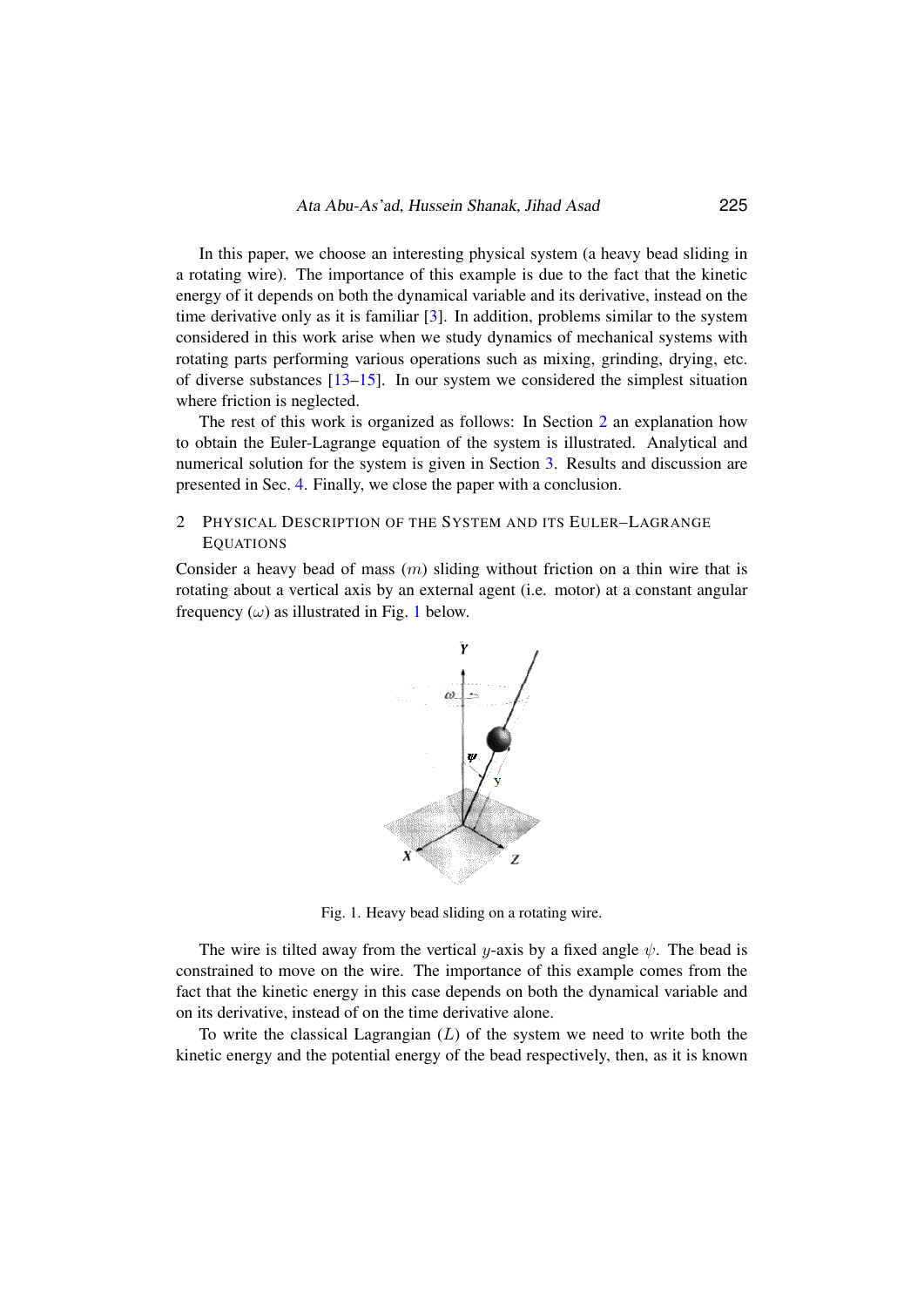In this paper, we choose an interesting physical system (a heavy bead sliding in a rotating wire). The importance of this example is due to the fact that the kinetic energy of it depends on both the dynamical variable and its derivative, instead on the time derivative only as it is familiar [\[3\]](#page-8-2). In addition, problems similar to the system considered in this work arise when we study dynamics of mechanical systems with rotating parts performing various operations such as mixing, grinding, drying, etc. of diverse substances [\[13](#page-8-7)[–15\]](#page-8-8). In our system we considered the simplest situation where friction is neglected.

The rest of this work is organized as follows: In Section [2](#page-1-0) an explanation how to obtain the Euler-Lagrange equation of the system is illustrated. Analytical and numerical solution for the system is given in Section [3.](#page-2-0) Results and discussion are presented in Sec. [4.](#page-4-0) Finally, we close the paper with a conclusion. which is given only distance from original  $\mathbf{f}$ 

## <span id="page-1-0"></span>2 PHYSICAL DESCRIPTION OF THE SYSTEM AND ITS EULER-LAGRANGE **EQUATIONS**

Consider a heavy bead of mass  $(m)$  sliding without friction on a thin wire that is rotating about a vertical axis by an external agent (i.e. motor) at a constant angular frequency  $(\omega)$  as illustrated in Fig. [1](#page-1-1) below. bead of mass (*m*) sliding without friction on a thin wire that is retical axis by an external agent (i.e. motor) at a constant angular



<span id="page-1-1"></span>Fig. 1. Heavy bead sliding on a rotating wire. Fig. 1. Heavy bead sliding on a rotating wire.

nonstrained to move on the wire. The importance of this examed the known explicit the state of the known explicit the state of the state of the state of the state of the state of the state of the state of the state of the *L*  $\alpha$  *L* d  $\beta$  *L* d  $\beta$ fact that the kinetic energy in this case depends on both the dynamical variable and constrained to move on the wire. The importance of this example comes from the constrained to this example comes from the on its derivative, instead of on the time derivative alone. The wire is tilted away from the vertical y-axis by a fixed angle  $\psi$ . The bead is

kinetic energy and the potential energy of the bead respectively, then, as it is known To write the classical Lagrangian  $(L)$  of the system we need to write both the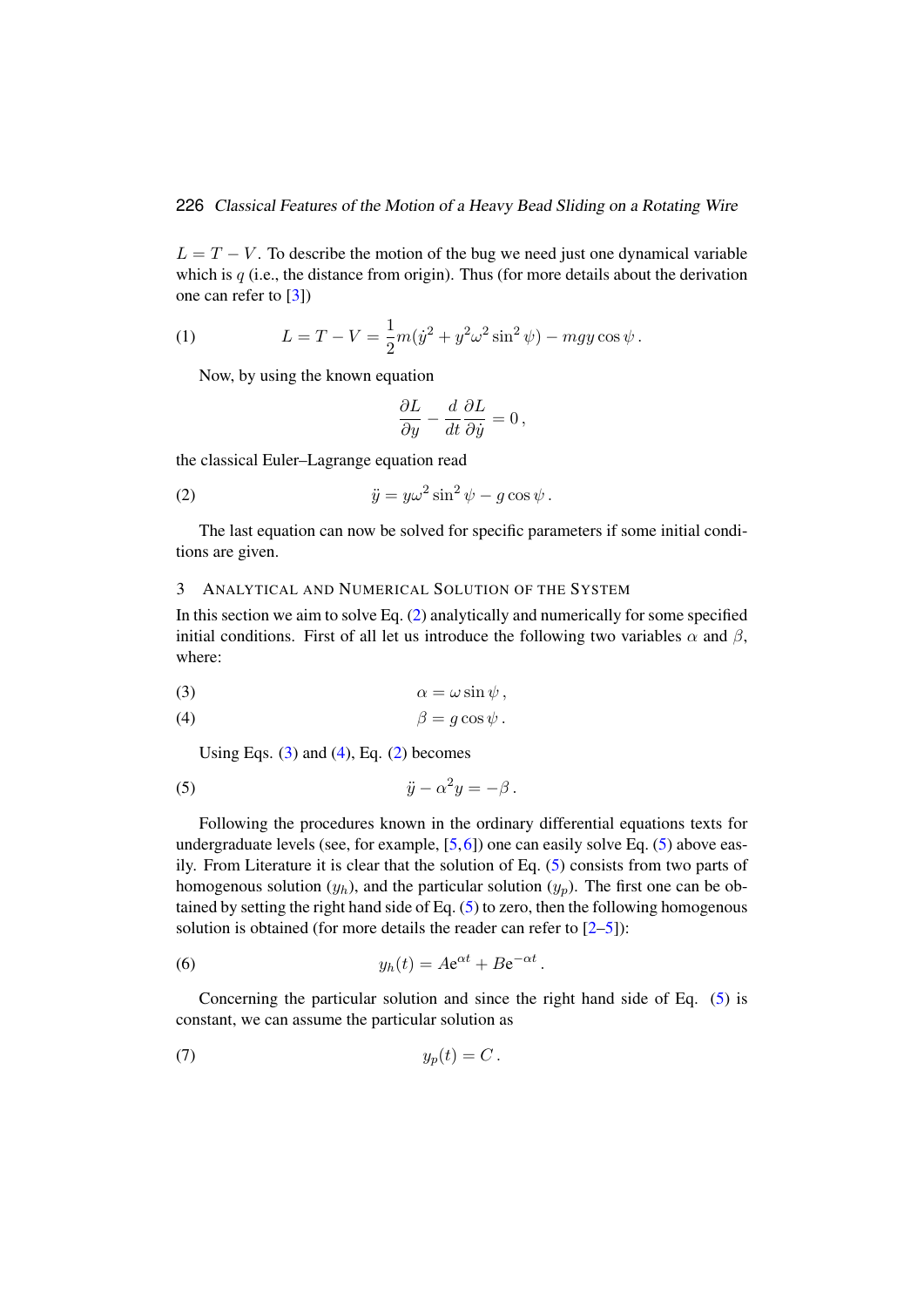$L = T - V$ . To describe the motion of the bug we need just one dynamical variable which is  $q$  (i.e., the distance from origin). Thus (for more details about the derivation one can refer to [\[3\]](#page-8-2))

(1) 
$$
L = T - V = \frac{1}{2}m(\dot{y}^2 + y^2\omega^2 \sin^2 \psi) - mgy \cos \psi.
$$

Now, by using the known equation

<span id="page-2-1"></span>
$$
\frac{\partial L}{\partial y} - \frac{d}{dt} \frac{\partial L}{\partial \dot{y}} = 0,
$$

the classical Euler–Lagrange equation read

(2) 
$$
\ddot{y} = y\omega^2 \sin^2 \psi - g \cos \psi.
$$

The last equation can now be solved for specific parameters if some initial conditions are given.

## <span id="page-2-0"></span>3 ANALYTICAL AND NUMERICAL SOLUTION OF THE SYSTEM

In this section we aim to solve Eq.  $(2)$  analytically and numerically for some specified initial conditions. First of all let us introduce the following two variables  $\alpha$  and  $\beta$ , where:

<span id="page-2-3"></span><span id="page-2-2"></span>
$$
\alpha = \omega \sin \psi ,
$$

$$
\beta = g \cos \psi.
$$

<span id="page-2-4"></span>Using Eqs.  $(3)$  and  $(4)$ , Eq.  $(2)$  becomes

(5) 
$$
\ddot{y} - \alpha^2 y = -\beta.
$$

Following the procedures known in the ordinary differential equations texts for undergraduate levels (see, for example,  $[5,6]$  $[5,6]$ ) one can easily solve Eq. [\(5\)](#page-2-4) above easily. From Literature it is clear that the solution of Eq. [\(5\)](#page-2-4) consists from two parts of homogenous solution  $(y_h)$ , and the particular solution  $(y_p)$ . The first one can be obtained by setting the right hand side of Eq. [\(5\)](#page-2-4) to zero, then the following homogenous solution is obtained (for more details the reader can refer to  $[2-5]$  $[2-5]$ ):

(6) 
$$
y_h(t) = A e^{\alpha t} + B e^{-\alpha t}
$$

Concerning the particular solution and since the right hand side of Eq. [\(5\)](#page-2-4) is constant, we can assume the particular solution as

<span id="page-2-5"></span>.

$$
(7) \t\t\t y_p(t) = C.
$$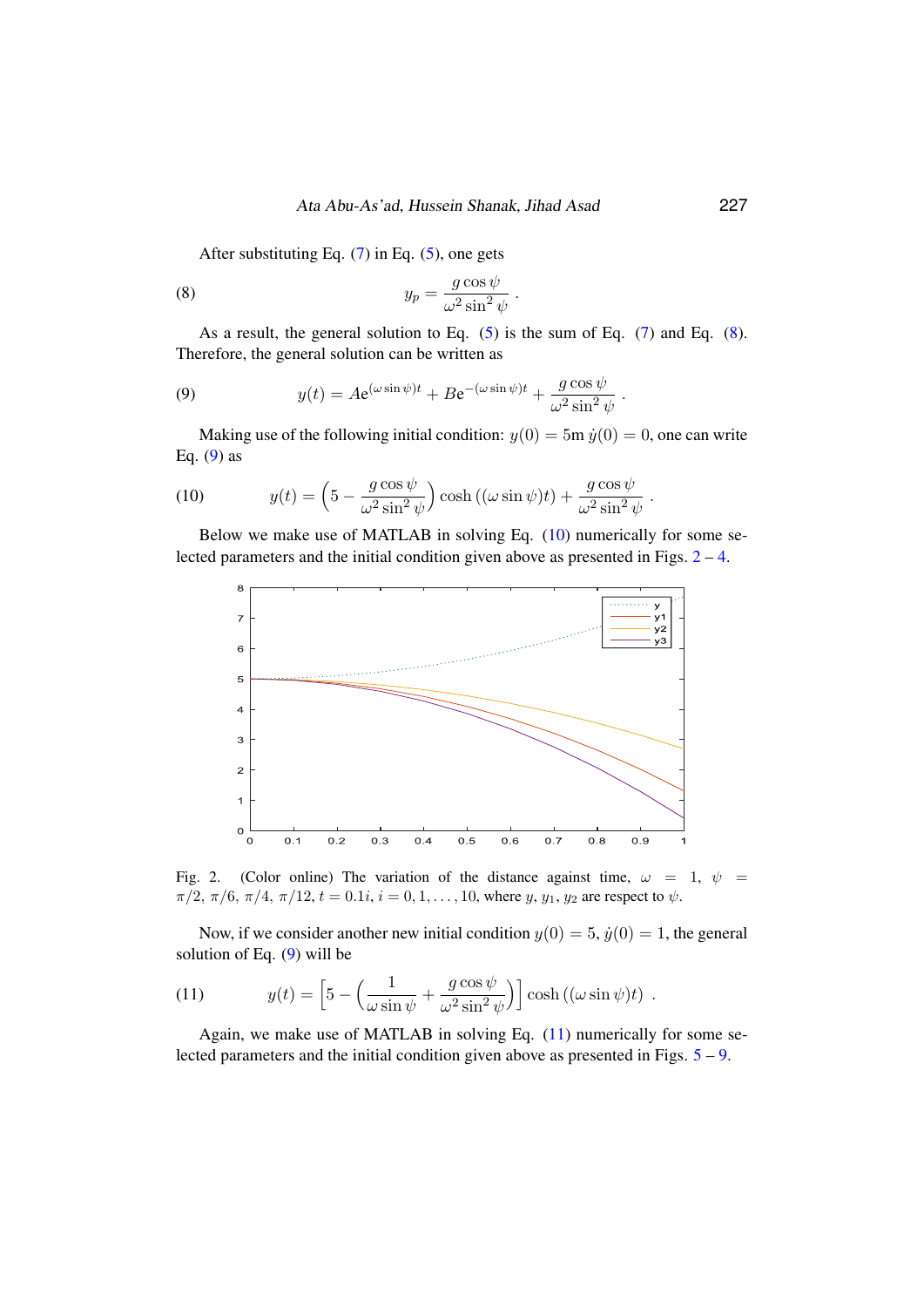After substituting Eq.  $(7)$  in Eq.  $(5)$ , one gets

(8) 
$$
y_p = \frac{g \cos \psi}{\omega^2 \sin^2 \psi}
$$

As a result, the general solution to Eq.  $(5)$  is the sum of Eq.  $(7)$  and Eq.  $(8)$ . Therefore, the general solution can be written as

<span id="page-3-0"></span>.

<span id="page-3-1"></span>(9) 
$$
y(t) = Ae^{(\omega \sin \psi)t} + Be^{-(\omega \sin \psi)t} + \frac{g \cos \psi}{\omega^2 \sin^2 \psi}.
$$

<span id="page-3-2"></span>Making use of the following initial condition:  $y(0) = 5m \dot{y}(0) = 0$ , one can write Eq.  $(9)$  as

(10) 
$$
y(t) = \left(5 - \frac{g \cos \psi}{\omega^2 \sin^2 \psi}\right) \cosh \left((\omega \sin \psi)t\right) + \frac{g \cos \psi}{\omega^2 \sin^2 \psi}.
$$

Below we make use of MATLAB in solving Eq. [\(10\)](#page-3-2) numerically for some selected parameters and the initial condition given above as presented in Figs.  $2 - 4$  $2 - 4$ .



 $\pi/2$ ,  $\pi/6$ ,  $\pi/4$ ,  $\pi/12$ ,  $t = 0.1i$ ,  $i = 0, 1, \ldots, 10$ , where y,  $y_1$ ,  $y_2$  are respect to  $\psi$ . Fig. 2. (Color online) The variation of the distance against time,  $\omega = 1$ ,  $\psi =$ 

Now, if we consider another new initial condition  $y(0) = 5$ ,  $\dot{y}(0) = 1$ , the general solution of Eq. (0) will be solution of Eq. [\(9\)](#page-3-1) will be

<span id="page-3-4"></span><span id="page-3-3"></span>(11) 
$$
y(t) = \left[5 - \left(\frac{1}{\omega \sin \psi} + \frac{g \cos \psi}{\omega^2 \sin^2 \psi}\right)\right] \cosh ((\omega \sin \psi)t).
$$

Again, we make use of MATLAB in solving Eq. [\(11\)](#page-3-4) numerically for some selected parameters and the initial condition given above as presented in Figs. [5](#page-5-0) – [9.](#page-7-0)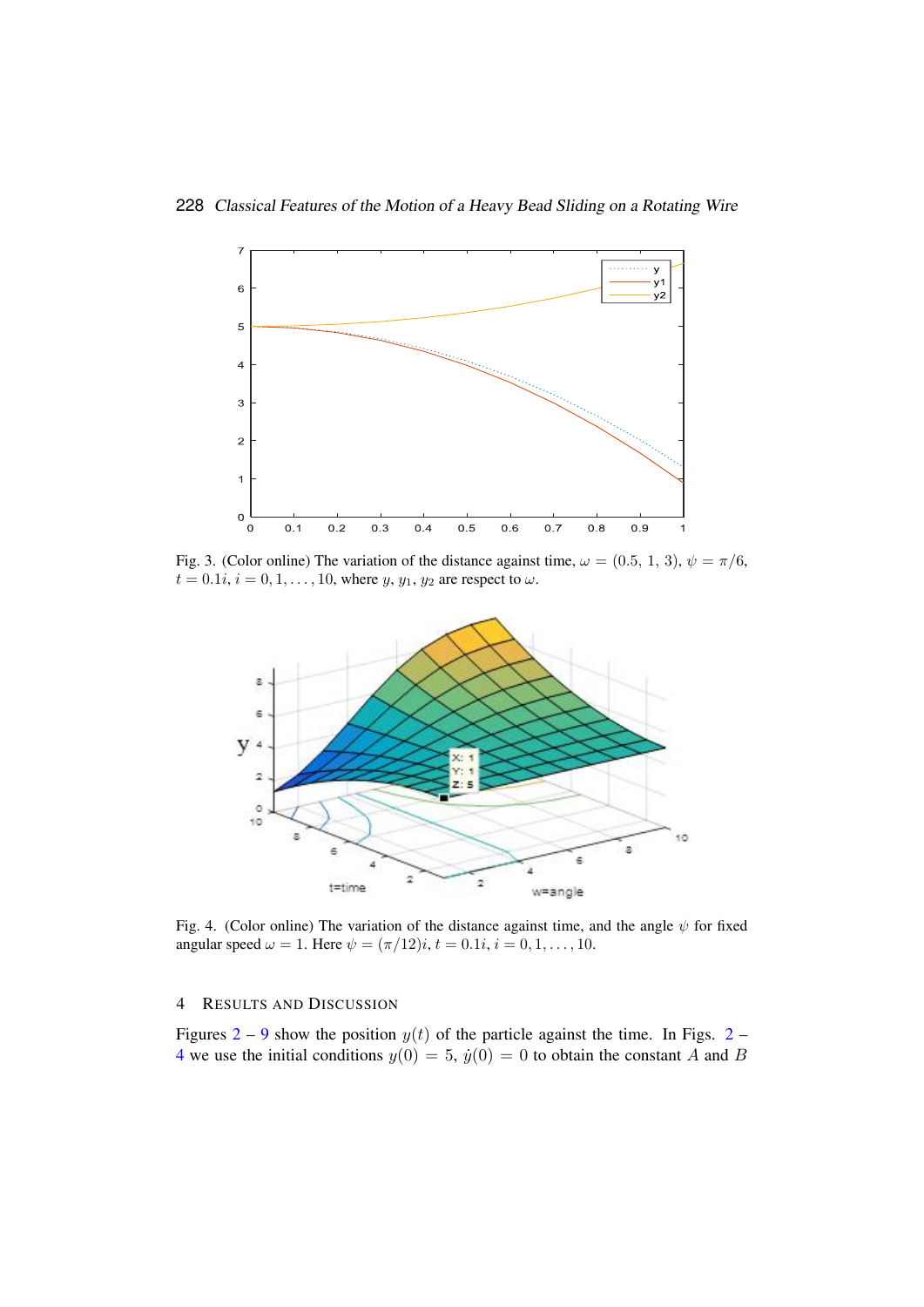

<span id="page-4-2"></span>Fig. 3. (Color online) The variation of the distance against time,  $\omega = (0.5, 1, 3), \psi = \pi/6$ ,  $t = 0.1i, i = 0, 1, ..., 10$ , where  $y, y_1, y_2$  are respect to  $\omega$ .



<span id="page-4-1"></span><span id="page-4-0"></span>Fig. 4. (Color online) The variation of the distance against time, and the angle  $\psi$  for fixed angular speed  $\omega = 1$ . Here  $\psi = (\pi/12)i$ ,  $t = 0.1i$ ,  $i = 0, 1, ..., 10$ .

# $\overline{4}$  RESULTS AND DISCUSSION

[4](#page-4-1) we use the initial conditions  $y(0) = 5$ ,  $\dot{y}(0) = 0$  to obtain the constant A and B Figures [2](#page-3-3) – [9](#page-7-0) show the position  $y(t)$  of the particle against the time. In Figs. 2 –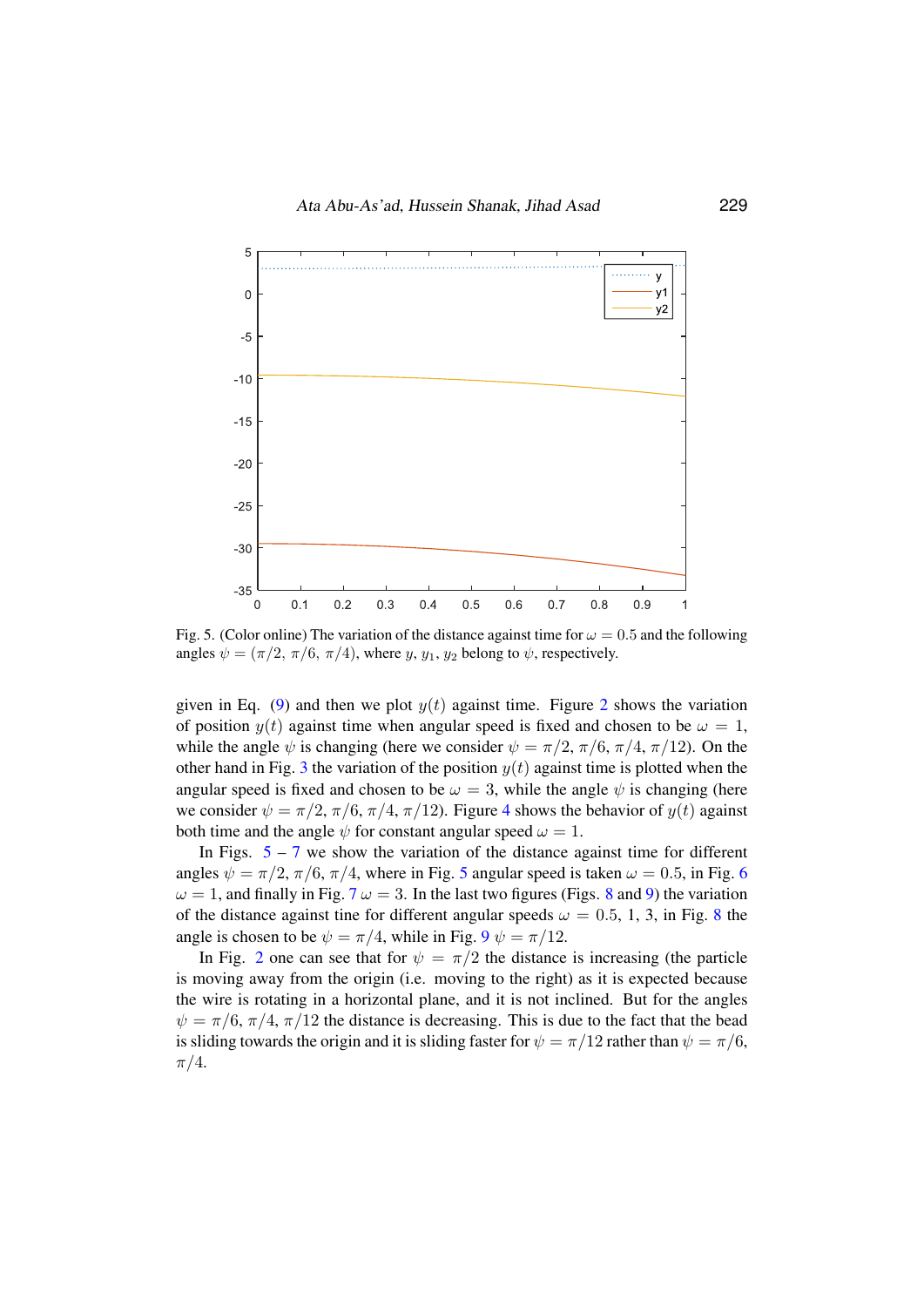

<span id="page-5-0"></span>Fig. 5. (Color online) The variation of the distance against time for  $\omega = 0.5$  and the following angles  $\psi = (\pi/2, \pi/6, \pi/4)$ , where y,  $y_1, y_2$  belong to  $\psi$ , respectively.

given in Eq. [\(9\)](#page-3-1) and then we plot  $y(t)$  against time. Figure [2](#page-3-3) shows the variation of position  $y(t)$  against time when angular speed is fixed and chosen to be  $\omega = 1$ , while the angle  $\psi$  is changing (here we consider  $\psi = \pi/2$ ,  $\pi/6$ ,  $\pi/4$ ,  $\pi/12$ ). On the other hand in Fig. [3](#page-4-2) the variation of the position  $y(t)$  against time is plotted when the angular speed is fixed and chosen to be  $\omega = 3$ , while the angle  $\psi$  is changing (here we consider  $\psi = \pi/2$ ,  $\pi/6$ ,  $\pi/4$  $\pi/4$ ,  $\pi/12$ ). Figure 4 shows the behavior of  $y(t)$  against both time and the angle  $\psi$  for constant angular speed  $\omega = 1$ .

In Figs.  $5 - 7$  $5 - 7$  $5 - 7$  we show the variation of the distance against time for different angles  $\psi = \pi/2$ ,  $\pi/6$  $\pi/6$ ,  $\pi/4$ , where in Fig. [5](#page-5-0) angular speed is taken  $\omega = 0.5$ , in Fig. 6  $\omega = 1$ , and finally in Fig. [7](#page-6-0)  $\omega = 3$ . In the last two figures (Figs. [8](#page-7-1) and [9\)](#page-7-0) the variation of the distance against tine for different angular speeds  $\omega = 0.5, 1, 3$ , in Fig. [8](#page-7-1) the angle is chosen to be  $\psi = \pi/4$ , while in Fig.  $9 \psi = \pi/12$  $9 \psi = \pi/12$ .

 $\pi/4$ . In Fig. [2](#page-3-3) one can see that for  $\psi = \pi/2$  the distance is increasing (the particle is moving away from the origin (i.e. moving to the right) as it is expected because the wire is rotating in a horizontal plane, and it is not inclined. But for the angles  $\psi = \pi/6$ ,  $\pi/4$ ,  $\pi/12$  the distance is decreasing. This is due to the fact that the bead is sliding towards the origin and it is sliding faster for  $\psi = \pi/12$  rather than  $\psi = \pi/6$ ,  $\pi/4$ .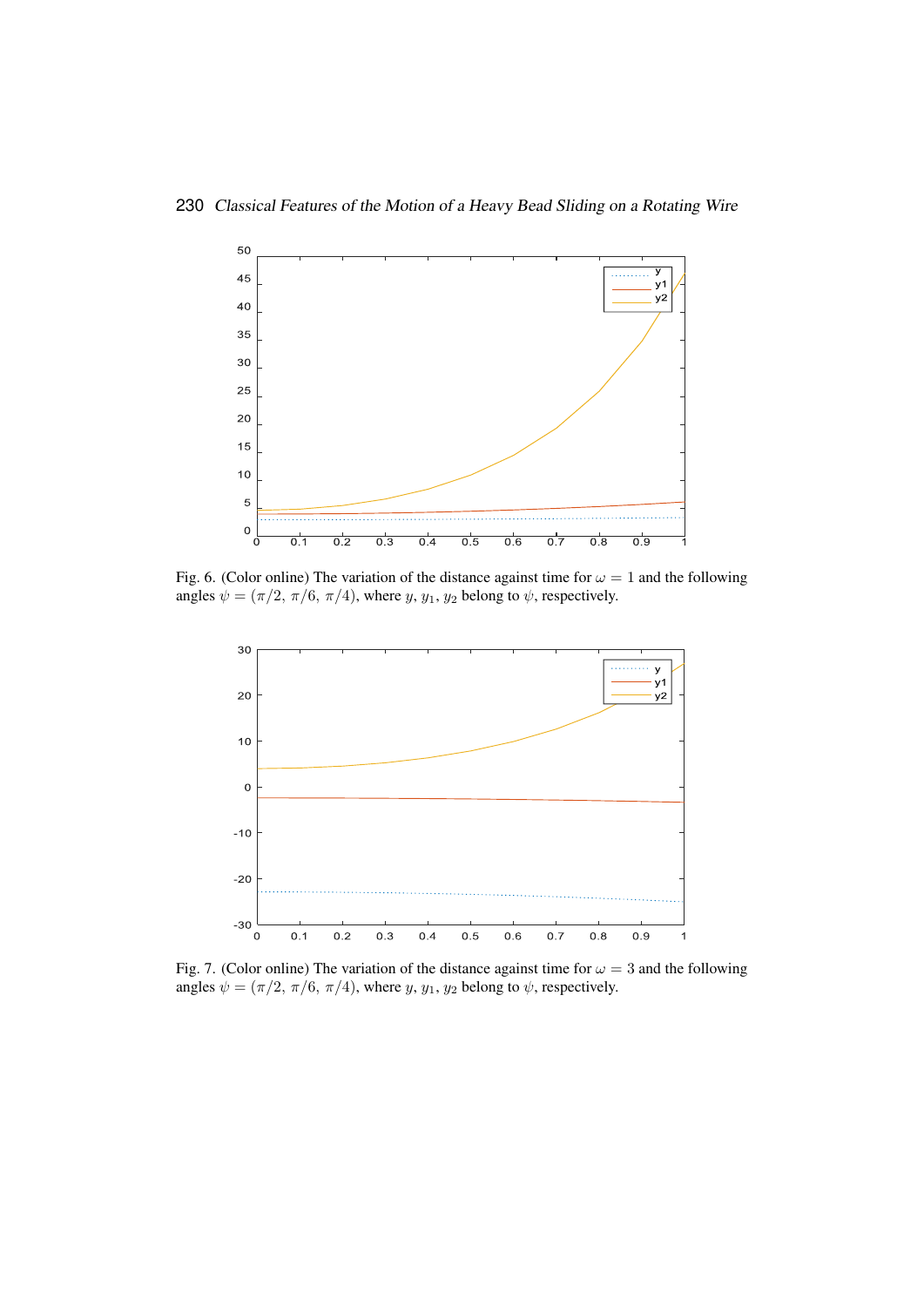

<span id="page-6-1"></span>Fig. 6. (Color online) The variation of the distance against time for  $\omega = 1$  and the following angles  $\psi = (\pi/2, \pi/6, \pi/4)$ , where  $y, y_1, y_2$  belong to  $\psi$ , respectively.



<span id="page-6-0"></span> $\mathcal{F}(\mathcal{F})$  , the distance against time for the distance against time for  $\mathcal{F}(\mathcal{F})$ Fig. 7. (Color online) The variation of the distance against time for  $\omega = 3$  and the following angles  $\psi = (\pi/2, \pi/6, \pi/4)$ , where  $y, y_1, y_2$  belong to  $\psi$ , respectively.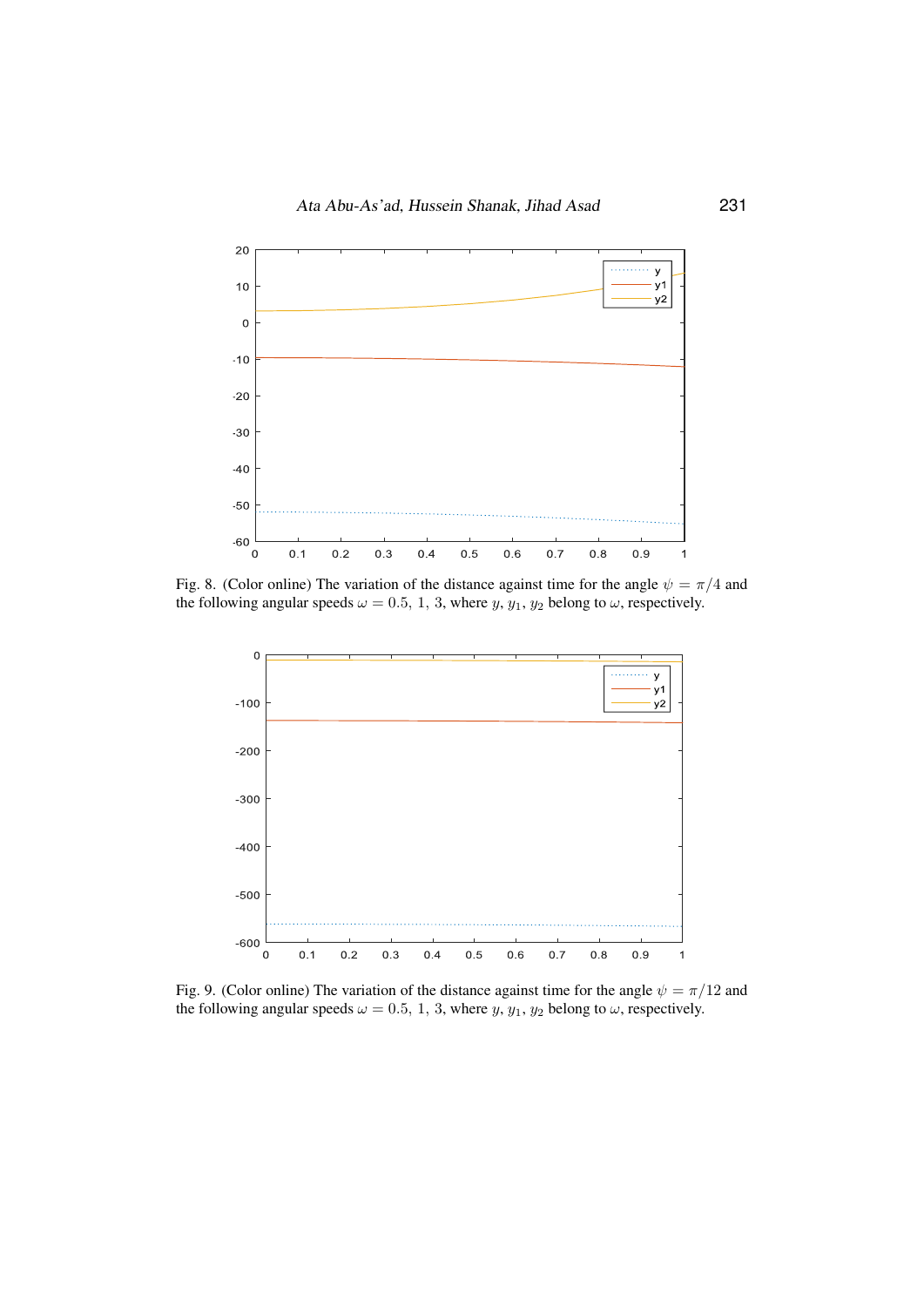

<span id="page-7-1"></span>Fig. 8. (Color online) The variation of the distance against time for the angle  $\psi = \pi/4$  and the following angular speeds  $\omega = 0.5, 1, 3$ , where  $y, y_1, y_2$  belong to  $\omega$ , respectively.



<span id="page-7-0"></span>Fig. 9. (Color online) The variation of the distance against time for the angle  $\psi = \pi/12$  and the following angular speeds  $\omega = 0.5, 1, 3$ , where  $y, y_1, y_2$  belong to  $\omega$ , respectively.